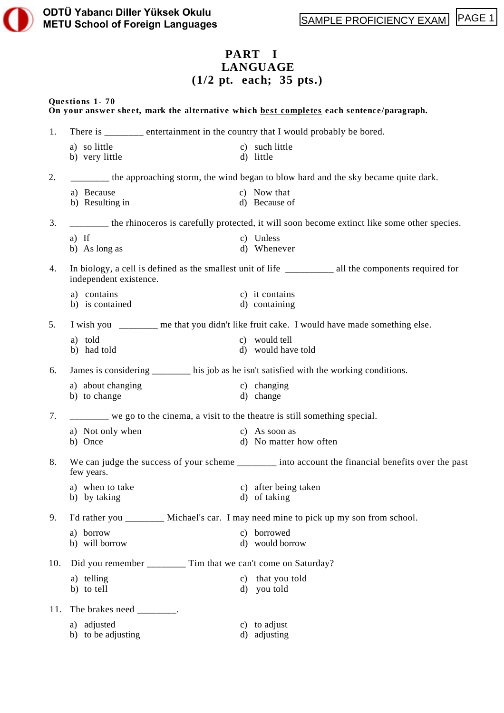# **PART I LANGUAGE (1/2 pt. each; 35 pts.)**

### **Questions 1- 70**

|     |                                                                                        | On your answer sheet, mark the alternative which best completes each sentence/paragraph.              |
|-----|----------------------------------------------------------------------------------------|-------------------------------------------------------------------------------------------------------|
| 1.  | There is _______ entertainment in the country that I would probably be bored.          |                                                                                                       |
|     | a) so little<br>b) very little                                                         | c) such little<br>d) little                                                                           |
| 2.  |                                                                                        | the approaching storm, the wind began to blow hard and the sky became quite dark.                     |
|     | a) Because<br>b) Resulting in                                                          | c) Now that<br>d) Because of                                                                          |
| 3.  |                                                                                        | ______ the rhinoceros is carefully protected, it will soon become extinct like some other species.    |
|     | $a)$ If<br>b) As long as                                                               | c) Unless<br>d) Whenever                                                                              |
| 4.  | independent existence.                                                                 | In biology, a cell is defined as the smallest unit of life __________ all the components required for |
|     | a) contains<br>b) is contained                                                         | c) it contains<br>d) containing                                                                       |
| 5.  |                                                                                        | I wish you ________ me that you didn't like fruit cake. I would have made something else.             |
|     | a) told<br>b) had told                                                                 | c) would tell<br>d) would have told                                                                   |
| 6.  | James is considering ______ his job as he isn't satisfied with the working conditions. |                                                                                                       |
|     | a) about changing<br>b) to change                                                      | c) changing<br>d) change                                                                              |
| 7.  | ______ we go to the cinema, a visit to the theatre is still something special.         |                                                                                                       |
|     | a) Not only when<br>b) Once                                                            | c) As soon as<br>d) No matter how often                                                               |
| 8.  | few years.                                                                             | We can judge the success of your scheme _______ into account the financial benefits over the past     |
|     | a) when to take<br>b) by taking                                                        | c) after being taken<br>d) of taking                                                                  |
| 9.  |                                                                                        | I'd rather you ________ Michael's car. I may need mine to pick up my son from school.                 |
|     | a) borrow<br>b) will borrow                                                            | c) borrowed<br>d) would borrow                                                                        |
| 10. | Did you remember _________ Tim that we can't come on Saturday?                         |                                                                                                       |
|     | a) telling<br>b) to tell                                                               | c) that you told<br>d) you told                                                                       |
| 11. | The brakes need $\frac{1}{\sqrt{1-\frac{1}{2}}}\$ .                                    |                                                                                                       |
|     | a) adjusted<br>b) to be adjusting                                                      | c) to adjust<br>d) adjusting                                                                          |
|     |                                                                                        |                                                                                                       |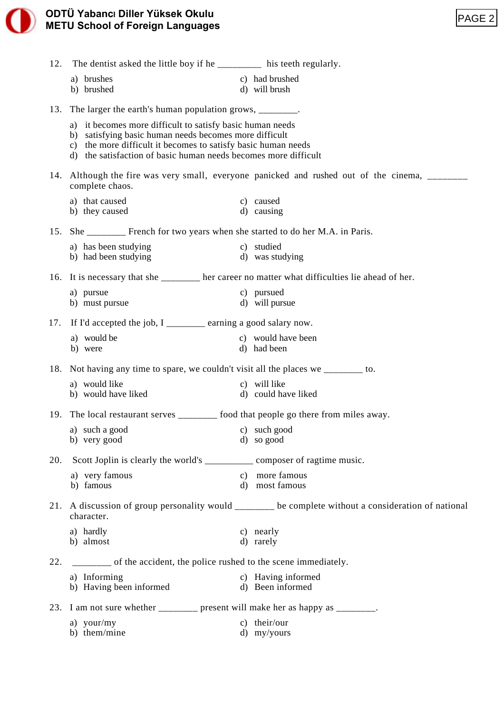| 12. | The dentist asked the little boy if he ________ his teeth regularly.                                                |                                                                                                |
|-----|---------------------------------------------------------------------------------------------------------------------|------------------------------------------------------------------------------------------------|
|     | a) brushes                                                                                                          | c) had brushed                                                                                 |
|     | b) brushed                                                                                                          | d) will brush                                                                                  |
| 13. | The larger the earth's human population grows, _________.                                                           |                                                                                                |
|     | a) it becomes more difficult to satisfy basic human needs<br>b) satisfying basic human needs becomes more difficult |                                                                                                |
|     | c) the more difficult it becomes to satisfy basic human needs                                                       |                                                                                                |
|     | d) the satisfaction of basic human needs becomes more difficult                                                     |                                                                                                |
|     | complete chaos.                                                                                                     | 14. Although the fire was very small, everyone panicked and rushed out of the cinema, _______  |
|     | a) that caused                                                                                                      | c) caused                                                                                      |
|     | b) they caused                                                                                                      | d) causing                                                                                     |
| 15. | She ________ French for two years when she started to do her M.A. in Paris.                                         |                                                                                                |
|     | a) has been studying<br>b) had been studying                                                                        | c) studied<br>d) was studying                                                                  |
|     |                                                                                                                     |                                                                                                |
| 16. | It is necessary that she _______ her career no matter what difficulties lie ahead of her.                           |                                                                                                |
|     | a) pursue<br>b) must pursue                                                                                         | c) pursued<br>d) will pursue                                                                   |
| 17. | If I'd accepted the job, I ___________ earning a good salary now.                                                   |                                                                                                |
|     | a) would be                                                                                                         | c) would have been                                                                             |
|     | b) were                                                                                                             | d) had been                                                                                    |
| 18. | Not having any time to spare, we couldn't visit all the places we ________ to.                                      |                                                                                                |
|     | a) would like<br>b) would have liked                                                                                | c) will like<br>d) could have liked                                                            |
|     |                                                                                                                     |                                                                                                |
|     | 19. The local restaurant serves ________ food that people go there from miles away.                                 |                                                                                                |
|     | a) such a good c) such good<br>b) very good                                                                         | d) so good                                                                                     |
|     |                                                                                                                     |                                                                                                |
| 20. | Scott Joplin is clearly the world's _________ composer of ragtime music.<br>a) very famous                          | c) more famous                                                                                 |
|     | b) famous                                                                                                           | d) most famous                                                                                 |
| 21. | character.                                                                                                          | A discussion of group personality would ______ be complete without a consideration of national |
|     | a) hardly                                                                                                           | c) nearly                                                                                      |
|     | b) almost                                                                                                           | d) rarely                                                                                      |
| 22. | _______ of the accident, the police rushed to the scene immediately.                                                |                                                                                                |
|     | a) Informing<br>b) Having been informed                                                                             | c) Having informed<br>d) Been informed                                                         |
|     |                                                                                                                     |                                                                                                |
| 23. | I am not sure whether _______ present will make her as happy as ________.                                           |                                                                                                |
|     | a) your/my<br>b) them/mine                                                                                          | c) their/our<br>d) my/yours                                                                    |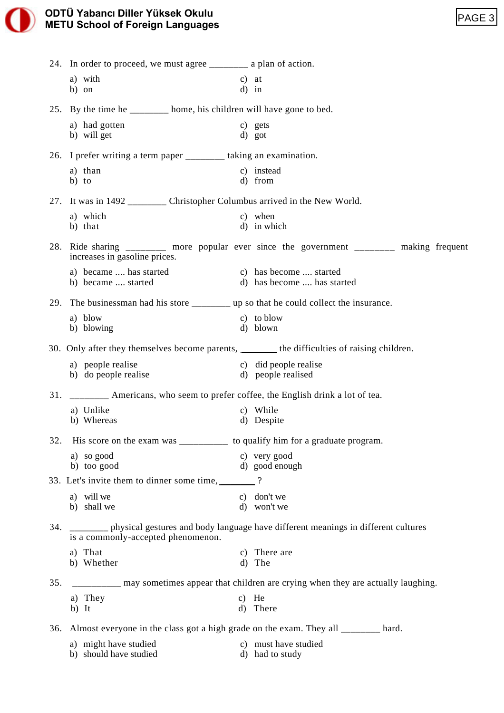|     | <b>ODTÜ Yabancı Diller Yüksek Okulu</b><br><b>METU School of Foreign Languages</b> |                                                                                              | PAGE <sub>3</sub> |
|-----|------------------------------------------------------------------------------------|----------------------------------------------------------------------------------------------|-------------------|
|     |                                                                                    |                                                                                              |                   |
|     | 24. In order to proceed, we must agree _________ a plan of action.                 |                                                                                              |                   |
|     | a) with<br>b) on                                                                   | $c)$ at<br>$d)$ in                                                                           |                   |
|     |                                                                                    | 25. By the time he _______ home, his children will have gone to bed.                         |                   |
|     | a) had gotten<br>b) will get                                                       | c) gets<br>d) got                                                                            |                   |
|     | 26. I prefer writing a term paper ________ taking an examination.                  |                                                                                              |                   |
|     | a) than<br>b) to                                                                   | c) instead<br>d) from                                                                        |                   |
|     |                                                                                    | 27. It was in 1492 _________ Christopher Columbus arrived in the New World.                  |                   |
|     | a) which                                                                           | c) when                                                                                      |                   |
|     | b) that                                                                            | d) in which                                                                                  |                   |
|     | increases in gasoline prices.                                                      | 28. Ride sharing ________ more popular ever since the government ________ making frequent    |                   |
|     | b) became  started                                                                 | a) became  has started c) has become  started<br>d) has become  has started                  |                   |
|     |                                                                                    | 29. The businessman had his store ___________ up so that he could collect the insurance.     |                   |
|     | a) blow<br>b) blowing                                                              | c) to blow<br>d) blown                                                                       |                   |
|     |                                                                                    | 30. Only after they themselves become parents, _______ the difficulties of raising children. |                   |
|     | a) people realise<br>b) do people realise                                          | c) did people realise<br>d) people realised                                                  |                   |
| 31. |                                                                                    | _________ Americans, who seem to prefer coffee, the English drink a lot of tea.              |                   |
|     | a) Unlike                                                                          | c) While                                                                                     |                   |
|     | b) Whereas                                                                         | d) Despite                                                                                   |                   |
| 32. |                                                                                    | His score on the exam was _____________ to qualify him for a graduate program.               |                   |
|     | a) so good<br>b) too good                                                          | c) very good<br>d) good enough                                                               |                   |
|     | 33. Let's invite them to dinner some time, _______?                                |                                                                                              |                   |
|     | a) will we                                                                         | c) don't we                                                                                  |                   |
|     | b) shall we                                                                        | d) won't we                                                                                  |                   |
| 34. | is a commonly-accepted phenomenon.                                                 | _______ physical gestures and body language have different meanings in different cultures    |                   |
|     | a) That<br>b) Whether                                                              | c) There are<br>d) The                                                                       |                   |
| 35. |                                                                                    | ________ may sometimes appear that children are crying when they are actually laughing.      |                   |
|     | a) They                                                                            | $c)$ He                                                                                      |                   |
|     | b) It                                                                              | d) There                                                                                     |                   |
|     |                                                                                    | 36. Almost everyone in the class got a high grade on the exam. They all ________ hard.       |                   |
|     | a) might have studied                                                              | c) must have studied                                                                         |                   |

b) should have studied d) had to study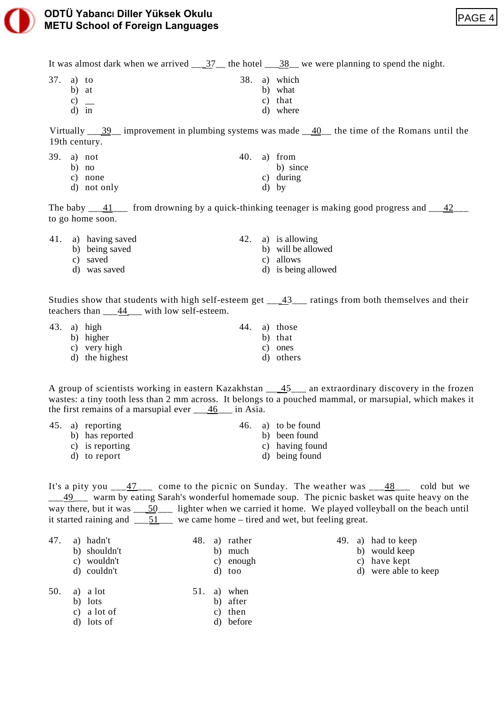

It was almost dark when we arrived  $\frac{37}{10}$  the hotel  $\frac{38}{10}$  we were planning to spend the night.

- 37. a) to 38. a) which
	-
	-
	-
	-
	-
	-
	-
	-
	-
	-
	-
	-
	-
	-
	-
	-
	-
	-
- 
- b) at b) what c)  $\frac{c}{d}$  b) what c) that c) that c) that d) where
	- c) that d) where

Virtually  $\frac{39}{2}$  improvement in plumbing systems was made  $\frac{40}{2}$  the time of the Romans until the 19th century.

|  | 39. a) not  |  | 40. a) from |
|--|-------------|--|-------------|
|  | b) no       |  | b) since    |
|  | c) none     |  | c) during   |
|  | d) not only |  | $d)$ by     |

The baby  $\underline{\hspace{1cm}41}$  from drowning by a quick-thinking teenager is making good progress and  $\underline{\hspace{1cm}42}$ to go home soon.

|  | 41. a) having saved |  | 42. a) is allowing  |
|--|---------------------|--|---------------------|
|  | b) being saved      |  | b) will be allowed  |
|  | c) saved            |  | c) allows           |
|  | d) was saved        |  | d) is being allowed |

Studies show that students with high self-esteem get  $-43$ , ratings from both themselves and their teachers than  $44$  with low self-esteem.

|  | 43. a) high    |  | 44. a) those |
|--|----------------|--|--------------|
|  | b) higher      |  | b) that      |
|  | c) very high   |  | c) ones      |
|  | d) the highest |  | d) others    |

A group of scientists working in eastern Kazakhstan \_\_\_45\_\_\_ an extraordinary discovery in the frozen wastes: a tiny tooth less than 2 mm across. It belongs to a pouched mammal, or marsupial, which makes it the first remains of a marsupial ever  $\underline{\hspace{1cm}46}$  in Asia.

|  | 45. a) reporting |  | 46. a) to be found |
|--|------------------|--|--------------------|
|  | b) has reported  |  | b) been found      |
|  | c) is reporting  |  | c) having found    |
|  | d) to report     |  | d) being found     |

It's a pity you  $\frac{47}{100}$  come to the picnic on Sunday. The weather was  $\frac{48}{100}$  cold but we \_\_\_49\_\_\_ warm by eating Sarah's wonderful homemade soup. The picnic basket was quite heavy on the way there, but it was \_\_\_50\_\_\_ lighter when we carried it home. We played volleyball on the beach until it started raining and  $\frac{51}{2}$  we came home – tired and wet, but feeling great.

| 47. | a) hadn't<br>b) shouldn't<br>c) wouldn't<br>d) couldn't |  | 48. a) rather<br>b) much<br>c) enough<br>d) too |  | 49. a) had to keep<br>b) would keep<br>c) have kept<br>d) were able to keep |
|-----|---------------------------------------------------------|--|-------------------------------------------------|--|-----------------------------------------------------------------------------|
| 50. | a) a lot<br>b) lots<br>c) a lot of                      |  | 51. a) when<br>b) after<br>c) then              |  |                                                                             |
|     |                                                         |  |                                                 |  |                                                                             |

d) lots of d) before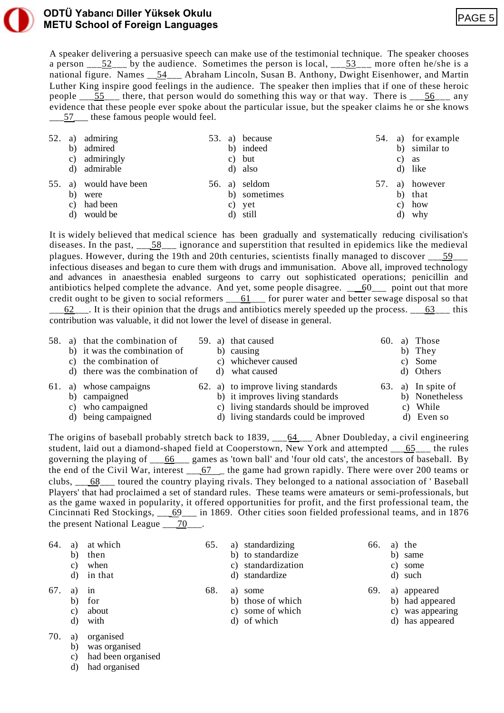

### **ODTÜ YabancI Diller Yüksek Okulu METU School of Foreign Languages**

A speaker delivering a persuasive speech can make use of the testimonial technique. The speaker chooses a person  $\overline{52}$  by the audience. Sometimes the person is local,  $\overline{53}$  more often he/she is a national figure. Names \_\_54\_\_\_ Abraham Lincoln, Susan B. Anthony, Dwight Eisenhower, and Martin Luther King inspire good feelings in the audience. The speaker then implies that if one of these heroic people \_\_\_55\_\_\_ there, that person would do something this way or that way. There is \_\_\_56\_\_\_ any evidence that these people ever spoke about the particular issue, but the speaker claims he or she knows 57 these famous people would feel.

| 52. | a)<br>b)<br>c)<br>d) | admiring<br>admired<br>admiringly<br>admirable  | 53. | a) because<br>b) indeed<br>c) but<br>d) also        |     | b)<br>C) | 54. a) for example<br>similar to<br>as<br>d) like |
|-----|----------------------|-------------------------------------------------|-----|-----------------------------------------------------|-----|----------|---------------------------------------------------|
| 55. | a)<br>b)<br>C)<br>d) | would have been<br>were<br>had been<br>would be |     | 56. a) seldom<br>b) sometimes<br>c) yet<br>d) still | 57. | a)<br>d) | however<br>b) that<br>c) how<br>why               |

It is widely believed that medical science has been gradually and systematically reducing civilisation's diseases. In the past,  $\frac{58}{2}$  ignorance and superstition that resulted in epidemics like the medieval plagues. However, during the 19th and 20th centuries, scientists finally managed to discover 59 infectious diseases and began to cure them with drugs and immunisation. Above all, improved technology and advances in anaesthesia enabled surgeons to carry out sophisticated operations; penicillin and antibiotics helped complete the advance. And yet, some people disagree.  $\qquad 60$  point out that more credit ought to be given to social reformers  $\underline{\hspace{1cm}} 61$  g for purer water and better sewage disposal so that  $\underline{62}$ . It is their opinion that the drugs and antibiotics merely speeded up the process.  $\underline{63}$  this

contribution was valuable, it did not lower the level of disease in general.

| 58. |                | a) that the combination of<br>b) it was the combination of<br>c) the combination of<br>d) there was the combination of | d) | 59. a) that caused<br>b) causing<br>c) whichever caused<br>what caused                                                                                   | 60. | a)<br>b)<br>C) | Those<br>They<br>Some<br>d) Others                      |
|-----|----------------|------------------------------------------------------------------------------------------------------------------------|----|----------------------------------------------------------------------------------------------------------------------------------------------------------|-----|----------------|---------------------------------------------------------|
| 61. | b)<br>C)<br>d) | a) whose campaigns<br>campaigned<br>who campaigned<br>being campaigned                                                 |    | 62. a) to improve living standards<br>b) it improves living standards<br>c) living standards should be improved<br>d) living standards could be improved | 63. | C)             | a) In spite of<br>b) Nonetheless<br>While<br>d) Even so |

The origins of baseball probably stretch back to 1839, \_\_64\_\_\_ Abner Doubleday, a civil engineering student, laid out a diamond-shaped field at Cooperstown, New York and attempted \_\_65\_\_\_ the rules governing the playing of  $\underline{\hspace{1cm}} 66$  games as 'town ball' and 'four old cats', the ancestors of baseball. By the end of the Civil War, interest \_\_\_67 \_\_ the game had grown rapidly. There were over 200 teams or clubs, \_\_\_68\_\_\_ toured the country playing rivals. They belonged to a national association of ' Baseball Players' that had proclaimed a set of standard rules. These teams were amateurs or semi-professionals, but as the game waxed in popularity, it offered opportunities for profit, and the first professional team, the Cincinnati Red Stockings, \_\_\_69\_\_\_ in 1869. Other cities soon fielded professional teams, and in 1876 the present National League  $\frac{70}{10}$ .

| 64. | a)<br>b)<br>C)<br>d) | at which<br>then<br>when<br>in that | 65. |    | a) standardizing<br>b) to standardize<br>c) standardization<br>d) standardize | 66. | C) | a) the<br>b) same<br>some<br>d) such |
|-----|----------------------|-------------------------------------|-----|----|-------------------------------------------------------------------------------|-----|----|--------------------------------------|
| 67. |                      | 1n                                  | 68. | a) | some                                                                          | 69. |    | a) appeared                          |
|     | b)                   | for                                 |     |    | b) those of which                                                             |     |    | b) had appeared                      |
|     | C)                   | about                               |     |    | c) some of which                                                              |     |    | c) was appearing                     |
|     | d)                   | with                                |     |    | d) of which                                                                   |     |    | d) has appeared                      |

- 70. a) organised
	- b) was organised
	- c) had been organised
	- d) had organised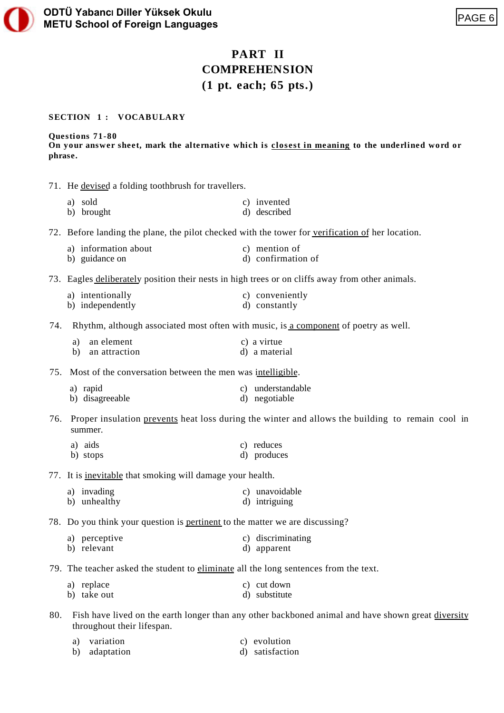# **PART II COMPREHENSION (1 pt. each; 65 pts.)**

### **SECTION 1 : VOCABULARY**

#### **Questions 71-80**

**On your answer sheet, mark the alternative which is closest in meaning to the underlined word or phrase.**

71. He devised a folding toothbrush for travellers.

| a) sold    | c) invented  |
|------------|--------------|
| b) brought | d) described |

72. Before landing the plane, the pilot checked with the tower for verification of her location.

| a) information about | c) mention of      |
|----------------------|--------------------|
| b) guidance on       | d) confirmation of |

73. Eagles deliberately position their nests in high trees or on cliffs away from other animals.

- a) intentionally c) conveniently b) independently d) constantly
- 74. Rhythm, although associated most often with music, is a component of poetry as well.
	- a) an element c) a virtue b) an attraction d) a material
- 75. Most of the conversation between the men was intelligible.

| a) rapid        | c) understandable |
|-----------------|-------------------|
| b) disagreeable | d) negotiable     |

76. Proper insulation prevents heat loss during the winter and allows the building to remain cool in summer.

- a) aids c) reduces
- b) stops d) produces

77. It is inevitable that smoking will damage your health.

| a) invading  | c) unavoidable |
|--------------|----------------|
| b) unhealthy | d) intriguing  |

78. Do you think your question is pertinent to the matter we are discussing?

- a) perceptive c) discriminating b) relevant d) apparent
- 79. The teacher asked the student to eliminate all the long sentences from the text.

| a) replace  | c) cut down   |
|-------------|---------------|
| b) take out | d) substitute |

80. Fish have lived on the earth longer than any other backboned animal and have shown great diversity throughout their lifespan.

| a) | variation     | c) evolution    |
|----|---------------|-----------------|
|    | b) adaptation | d) satisfaction |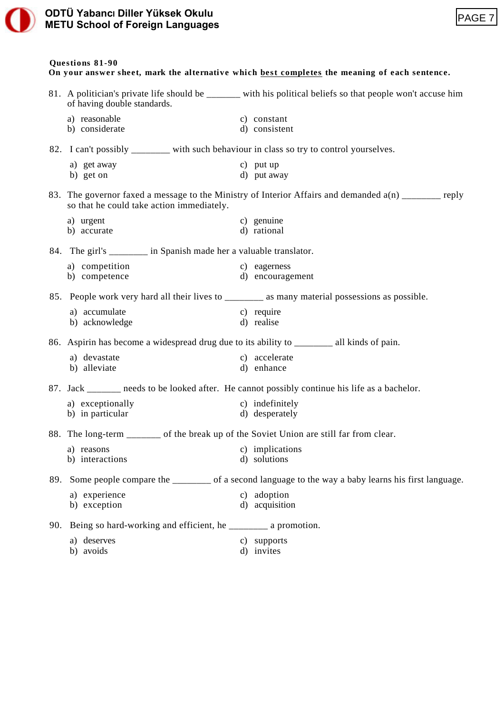### **ODTÜ YabancI Diller Yüksek Okulu METU School of Foreign Languages**



### **Questions 81-90**

**On your answer sheet, mark the alternative which best completes the meaning of each sentence.**

|     | of having double standards.                                                                    | 81. A politician's private life should be _______ with his political beliefs so that people won't accuse him |
|-----|------------------------------------------------------------------------------------------------|--------------------------------------------------------------------------------------------------------------|
|     | a) reasonable                                                                                  | c) constant                                                                                                  |
|     | b) considerate                                                                                 | d) consistent                                                                                                |
|     | 82. I can't possibly ________ with such behaviour in class so try to control yourselves.       |                                                                                                              |
|     | a) get away                                                                                    | c) put up                                                                                                    |
|     | b) get on                                                                                      | d) put away                                                                                                  |
|     | so that he could take action immediately.                                                      | 83. The governor faxed a message to the Ministry of Interior Affairs and demanded a(n) _______ reply         |
|     | a) urgent                                                                                      | c) genuine                                                                                                   |
|     | b) accurate                                                                                    | d) rational                                                                                                  |
|     | 84. The girl's _________ in Spanish made her a valuable translator.                            |                                                                                                              |
|     | a) competition                                                                                 | c) eagerness                                                                                                 |
|     | b) competence                                                                                  | d) encouragement                                                                                             |
|     |                                                                                                | 85. People work very hard all their lives to _______ as many material possessions as possible.               |
|     | a) accumulate                                                                                  | c) require                                                                                                   |
|     | b) acknowledge                                                                                 | d) realise                                                                                                   |
|     | 86. Aspirin has become a widespread drug due to its ability to _________ all kinds of pain.    |                                                                                                              |
|     | a) devastate                                                                                   | c) accelerate                                                                                                |
|     | b) alleviate                                                                                   | d) enhance                                                                                                   |
|     | 87. Jack _______ needs to be looked after. He cannot possibly continue his life as a bachelor. |                                                                                                              |
|     | a) exceptionally                                                                               | c) indefinitely                                                                                              |
|     | b) in particular                                                                               | d) desperately                                                                                               |
|     | 88. The long-term _______ of the break up of the Soviet Union are still far from clear.        |                                                                                                              |
|     | a) reasons                                                                                     | c) implications                                                                                              |
|     | b) interactions                                                                                | d) solutions                                                                                                 |
| 89. |                                                                                                | Some people compare the _______ of a second language to the way a baby learns his first language.            |
|     | a) experience                                                                                  | c) adoption                                                                                                  |
|     | b) exception                                                                                   | d) acquisition                                                                                               |
| 90. | Being so hard-working and efficient, he _________ a promotion.                                 |                                                                                                              |
|     | a) deserves                                                                                    | c) supports                                                                                                  |
|     | b) avoids                                                                                      | d) invites                                                                                                   |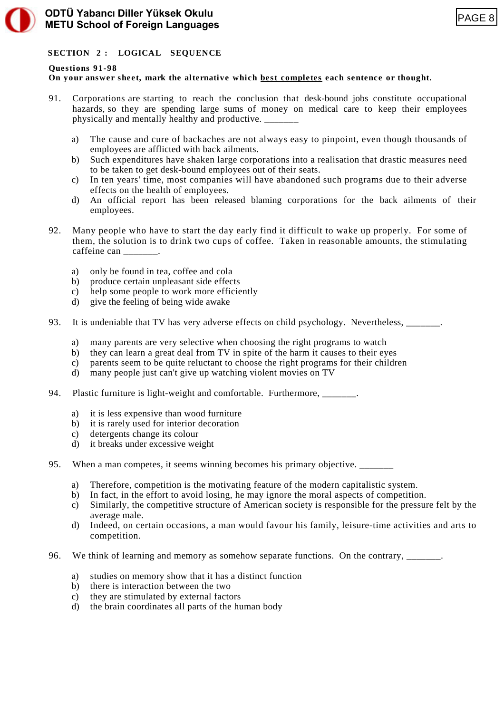

# **SECTION 2 : LOGICAL SEQUENCE**

### **Questions 91-98**

## **On your answer sheet, mark the alternative which best completes each sentence or thought.**

- 91. Corporations are starting to reach the conclusion that desk-bound jobs constitute occupational hazards, so they are spending large sums of money on medical care to keep their employees physically and mentally healthy and productive. \_\_\_\_\_\_\_
	- a) The cause and cure of backaches are not always easy to pinpoint, even though thousands of employees are afflicted with back ailments.
	- b) Such expenditures have shaken large corporations into a realisation that drastic measures need to be taken to get desk-bound employees out of their seats.
	- c) In ten years' time, most companies will have abandoned such programs due to their adverse effects on the health of employees.
	- d) An official report has been released blaming corporations for the back ailments of their employees.
- 92. Many people who have to start the day early find it difficult to wake up properly. For some of them, the solution is to drink two cups of coffee. Taken in reasonable amounts, the stimulating caffeine can .
	- a) only be found in tea, coffee and cola
	- b) produce certain unpleasant side effects
	- c) help some people to work more efficiently
	- d) give the feeling of being wide awake
- 93. It is undeniable that TV has very adverse effects on child psychology. Nevertheless, \_\_\_\_\_\_\_.
	- a) many parents are very selective when choosing the right programs to watch
	- b) they can learn a great deal from TV in spite of the harm it causes to their eyes
	- c) parents seem to be quite reluctant to choose the right programs for their children
	- d) many people just can't give up watching violent movies on TV
- 94. Plastic furniture is light-weight and comfortable. Furthermore, \_\_\_\_\_\_\_.
	- a) it is less expensive than wood furniture
	- b) it is rarely used for interior decoration
	- c) detergents change its colour
	- d) it breaks under excessive weight
- 95. When a man competes, it seems winning becomes his primary objective. \_\_\_\_\_\_\_
	- a) Therefore, competition is the motivating feature of the modern capitalistic system.
	- b) In fact, in the effort to avoid losing, he may ignore the moral aspects of competition.
	- c) Similarly, the competitive structure of American society is responsible for the pressure felt by the average male.
	- d) Indeed, on certain occasions, a man would favour his family, leisure-time activities and arts to competition.
- 96. We think of learning and memory as somehow separate functions. On the contrary,
	- a) studies on memory show that it has a distinct function
	- b) there is interaction between the two
	- c) they are stimulated by external factors
	- d) the brain coordinates all parts of the human body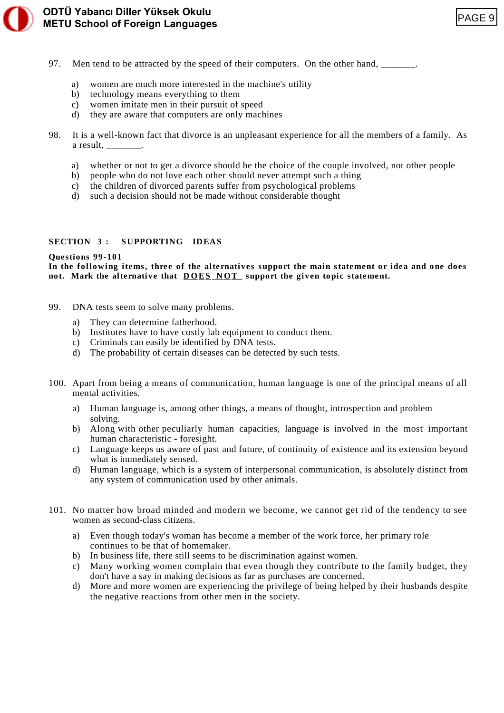

**ODTÜ YabancI Diller Yüksek Okulu**

# ODTÜ Yabancı Diller Yüksek Okulu<br>METU School of Foreign Languages

- 97. Men tend to be attracted by the speed of their computers. On the other hand,
	- a) women are much more interested in the machine's utility
	- b) technology means everything to them
	- c) women imitate men in their pursuit of speed
	- d) they are aware that computers are only machines
- 98. It is a well-known fact that divorce is an unpleasant experience for all the members of a family. As a result.
	- a) whether or not to get a divorce should be the choice of the couple involved, not other people
	- b) people who do not love each other should never attempt such a thing
	- c) the children of divorced parents suffer from psychological problems
	- d) such a decision should not be made without considerable thought

### **SECTION 3 : SUPPORTING IDEAS**

### **Questions 99-101**

**In the following items, three of the alternatives support the main statement or idea and one does** not. Mark the alternative that DOES NOT support the given topic statement.

- 99. DNA tests seem to solve many problems.
	- a) They can determine fatherhood.
	- b) Institutes have to have costly lab equipment to conduct them.
	- c) Criminals can easily be identified by DNA tests.
	- d) The probability of certain diseases can be detected by such tests.
- 100. Apart from being a means of communication, human language is one of the principal means of all mental activities.
	- a) Human language is, among other things, a means of thought, introspection and problem solving.
	- b) Along with other peculiarly human capacities, language is involved in the most important human characteristic - foresight.
	- c) Language keeps us aware of past and future, of continuity of existence and its extension beyond what is immediately sensed.
	- d) Human language, which is a system of interpersonal communication, is absolutely distinct from any system of communication used by other animals.
- 101. No matter how broad minded and modern we become, we cannot get rid of the tendency to see women as second-class citizens.
	- a) Even though today's woman has become a member of the work force, her primary role continues to be that of homemaker.
	- b) In business life, there still seems to be discrimination against women.
	- c) Many working women complain that even though they contribute to the family budget, they don't have a say in making decisions as far as purchases are concerned.
	- d) More and more women are experiencing the privilege of being helped by their husbands despite the negative reactions from other men in the society.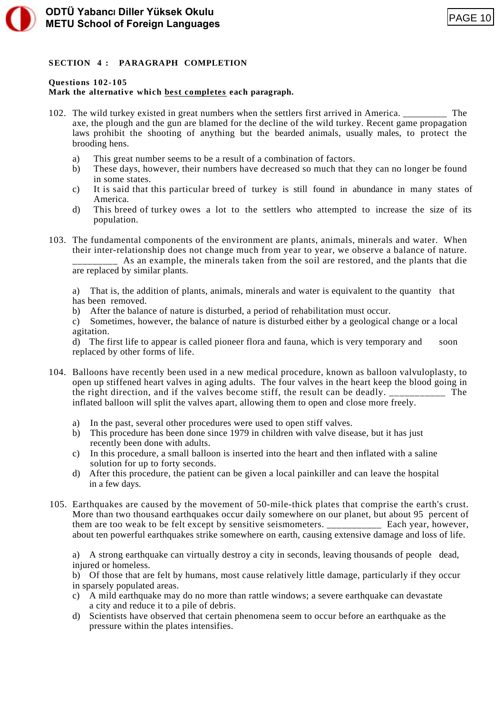# **SECTION 4 : PARAGRAPH COMPLETION**

### **Questions 102-105**

# **Mark the alternative which best completes each paragraph.**

- 102. The wild turkey existed in great numbers when the settlers first arrived in America. \_\_\_\_\_\_\_\_\_ The axe, the plough and the gun are blamed for the decline of the wild turkey. Recent game propagation laws prohibit the shooting of anything but the bearded animals, usually males, to protect the brooding hens.
	- a) This great number seems to be a result of a combination of factors.
	- b) These days, however, their numbers have decreased so much that they can no longer be found in some states.
	- c) It is said that this particular breed of turkey is still found in abundance in many states of America.
	- d) This breed of turkey owes a lot to the settlers who attempted to increase the size of its population.
- 103. The fundamental components of the environment are plants, animals, minerals and water. When their inter-relationship does not change much from year to year, we observe a balance of nature. As an example, the minerals taken from the soil are restored, and the plants that die

are replaced by similar plants.

a) That is, the addition of plants, animals, minerals and water is equivalent to the quantity that has been removed.

b) After the balance of nature is disturbed, a period of rehabilitation must occur.

c) Sometimes, however, the balance of nature is disturbed either by a geological change or a local agitation.

d) The first life to appear is called pioneer flora and fauna, which is very temporary and soon replaced by other forms of life.

- 104. Balloons have recently been used in a new medical procedure, known as balloon valvuloplasty, to open up stiffened heart valves in aging adults. The four valves in the heart keep the blood going in the right direction, and if the valves become stiff, the result can be deadly. \_\_\_\_\_\_\_\_\_\_\_ The inflated balloon will split the valves apart, allowing them to open and close more freely.
	- a) In the past, several other procedures were used to open stiff valves.
	- b) This procedure has been done since 1979 in children with valve disease, but it has just recently been done with adults.
	- c) In this procedure, a small balloon is inserted into the heart and then inflated with a saline solution for up to forty seconds.
	- d) After this procedure, the patient can be given a local painkiller and can leave the hospital in a few days.
- 105. Earthquakes are caused by the movement of 50-mile-thick plates that comprise the earth's crust. More than two thousand earthquakes occur daily somewhere on our planet, but about 95 percent of them are too weak to be felt except by sensitive seismometers. Each year, however, about ten powerful earthquakes strike somewhere on earth, causing extensive damage and loss of life.

a) A strong earthquake can virtually destroy a city in seconds, leaving thousands of people dead, injured or homeless.

b) Of those that are felt by humans, most cause relatively little damage, particularly if they occur in sparsely populated areas.

- c) A mild earthquake may do no more than rattle windows; a severe earthquake can devastate a city and reduce it to a pile of debris.
- d) Scientists have observed that certain phenomena seem to occur before an earthquake as the pressure within the plates intensifies.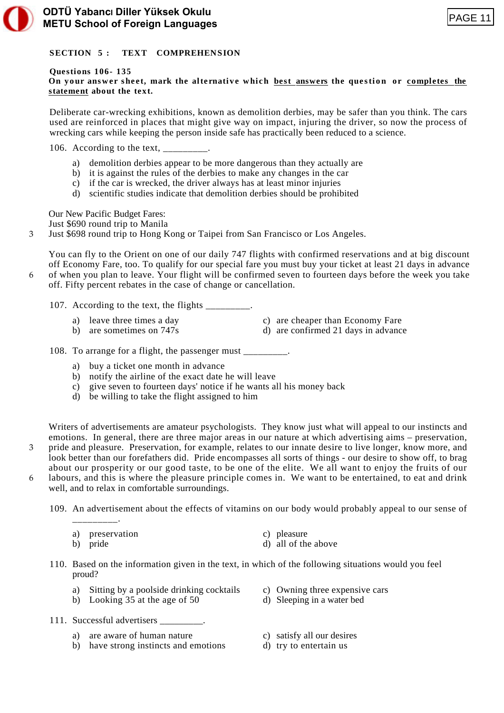

### **SECTION 5 : TEXT COMPREHENSION**

### **Questions 106- 135**

**On your answer sheet, mark the alternative which best answers the question or completes the statement about the text.**

Deliberate car-wrecking exhibitions, known as demolition derbies, may be safer than you think. The cars used are reinforced in places that might give way on impact, injuring the driver, so now the process of wrecking cars while keeping the person inside safe has practically been reduced to a science.

106. According to the text,

- a) demolition derbies appear to be more dangerous than they actually are
- b) it is against the rules of the derbies to make any changes in the car
- c) if the car is wrecked, the driver always has at least minor injuries
- d) scientific studies indicate that demolition derbies should be prohibited

Our New Pacific Budget Fares:

Just \$690 round trip to Manila

3 Just \$698 round trip to Hong Kong or Taipei from San Francisco or Los Angeles.

You can fly to the Orient on one of our daily 747 flights with confirmed reservations and at big discount off Economy Fare, too. To qualify for our special fare you must buy your ticket at least 21 days in advance 6 of when you plan to leave. Your flight will be confirmed seven to fourteen days before the week you take off. Fifty percent rebates in the case of change or cancellation.

- 107. According to the text, the flights  $\blacksquare$ 
	- a) leave three times a day c) are cheaper than Economy Fare
		-
	- b) are sometimes on 747s d) are confirmed 21 days in advance
- 
- 108. To arrange for a flight, the passenger must  $\blacksquare$ .
	- a) buy a ticket one month in advance
	- b) notify the airline of the exact date he will leave
	- c) give seven to fourteen days' notice if he wants all his money back
	- d) be willing to take the flight assigned to him
- Writers of advertisements are amateur psychologists. They know just what will appeal to our instincts and emotions. In general, there are three major areas in our nature at which advertising aims – preservation, 3 pride and pleasure. Preservation, for example, relates to our innate desire to live longer, know more, and look better than our forefathers did. Pride encompasses all sorts of things - our desire to show off, to brag about our prosperity or our good taste, to be one of the elite. We all want to enjoy the fruits of our 6 labours, and this is where the pleasure principle comes in. We want to be entertained, to eat and drink well, and to relax in comfortable surroundings.

109. An advertisement about the effects of vitamins on our body would probably appeal to our sense of

\_\_\_\_\_\_\_\_\_.

- 
- a) preservation c) pleasure
- b) pride d) all of the above
- 110. Based on the information given in the text, in which of the following situations would you feel proud?
	- a) Sitting by a poolside drinking cocktails c) Owning three expensive cars
	- b) Looking 35 at the age of 50 d) Sleeping in a water bed
- -
- 
- 111. Successful advertisers \_\_\_\_\_\_\_\_\_.
	- a) are aware of human nature c) satisfy all our desires
	- b) have strong instincts and emotions d) try to entertain us
- -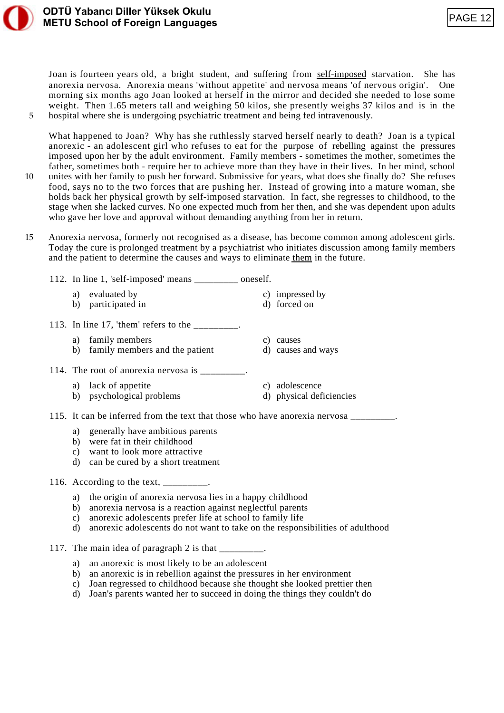

Joan is fourteen years old, a bright student, and suffering from self-imposed starvation. She has anorexia nervosa. Anorexia means 'without appetite' and nervosa means 'of nervous origin'. One morning six months ago Joan looked at herself in the mirror and decided she needed to lose some weight. Then 1.65 meters tall and weighing 50 kilos, she presently weighs 37 kilos and is in the 5 hospital where she is undergoing psychiatric treatment and being fed intravenously.

What happened to Joan? Why has she ruthlessly starved herself nearly to death? Joan is a typical anorexic - an adolescent girl who refuses to eat for the purpose of rebelling against the pressures imposed upon her by the adult environment. Family members - sometimes the mother, sometimes the father, sometimes both - require her to achieve more than they have in their lives. In her mind, school 10 unites with her family to push her forward. Submissive for years, what does she finally do? She refuses food, says no to the two forces that are pushing her. Instead of growing into a mature woman, she holds back her physical growth by self-imposed starvation. In fact, she regresses to childhood, to the stage when she lacked curves. No one expected much from her then, and she was dependent upon adults who gave her love and approval without demanding anything from her in return.

15 Anorexia nervosa, formerly not recognised as a disease, has become common among adolescent girls. Today the cure is prolonged treatment by a psychiatrist who initiates discussion among family members and the patient to determine the causes and ways to eliminate them in the future.

| 112. In line 1, 'self-imposed' means<br>oneself. |  |  |  |  |  |
|--------------------------------------------------|--|--|--|--|--|
|--------------------------------------------------|--|--|--|--|--|

- a) evaluated by c) impressed by b) participated in d) forced on
- 
- 113. In line 17, 'them' refers to the  $\frac{1}{2}$ 
	- a) family members c) causes
	- b) family members and the patient d) causes and ways
- 114. The root of anorexia nervosa is \_\_\_\_\_\_\_\_\_.
	- a) lack of appetite c) adolescence
	- b) psychological problems d) physical deficiencies
- 115. It can be inferred from the text that those who have anorexia nervosa \_\_\_\_\_\_
	- a) generally have ambitious parents
	- b) were fat in their childhood
	- c) want to look more attractive
	- d) can be cured by a short treatment

116. According to the text, \_\_\_\_\_\_\_\_.

- a) the origin of anorexia nervosa lies in a happy childhood
- b) anorexia nervosa is a reaction against neglectful parents
- c) anorexic adolescents prefer life at school to family life
- d) anorexic adolescents do not want to take on the responsibilities of adulthood
- 117. The main idea of paragraph 2 is that
	- a) an anorexic is most likely to be an adolescent
	- b) an anorexic is in rebellion against the pressures in her environment
	- c) Joan regressed to childhood because she thought she looked prettier then
	- d) Joan's parents wanted her to succeed in doing the things they couldn't do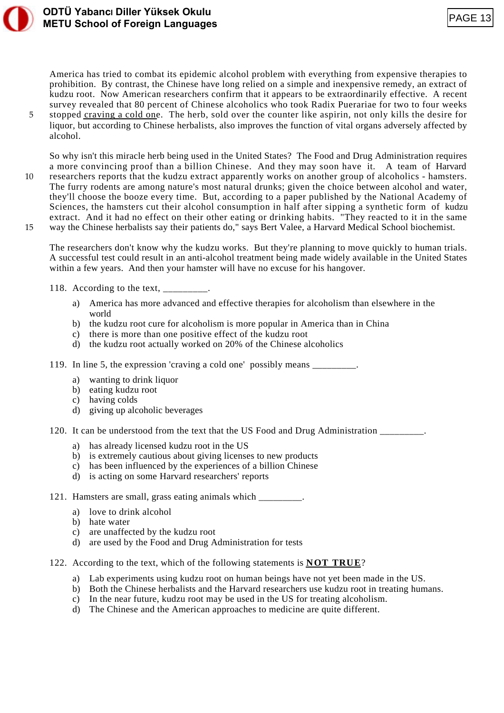

# **ODTÜ YabancI Diller Yüksek Okulu METU School of Foreign Languages**

America has tried to combat its epidemic alcohol problem with everything from expensive therapies to prohibition. By contrast, the Chinese have long relied on a simple and inexpensive remedy, an extract of kudzu root. Now American researchers confirm that it appears to be extraordinarily effective. A recent survey revealed that 80 percent of Chinese alcoholics who took Radix Puerariae for two to four weeks 5 stopped craving a cold one. The herb, sold over the counter like aspirin, not only kills the desire for liquor, but according to Chinese herbalists, also improves the function of vital organs adversely affected by alcohol.

So why isn't this miracle herb being used in the United States? The Food and Drug Administration requires a more convincing proof than a billion Chinese. And they may soon have it. A team of Harvard 10 researchers reports that the kudzu extract apparently works on another group of alcoholics - hamsters. The furry rodents are among nature's most natural drunks; given the choice between alcohol and water, they'll choose the booze every time. But, according to a paper published by the National Academy of Sciences, the hamsters cut their alcohol consumption in half after sipping a synthetic form of kudzu extract. And it had no effect on their other eating or drinking habits. "They reacted to it in the same 15 way the Chinese herbalists say their patients do," says Bert Valee, a Harvard Medical School biochemist.

The researchers don't know why the kudzu works. But they're planning to move quickly to human trials. A successful test could result in an anti-alcohol treatment being made widely available in the United States within a few years. And then your hamster will have no excuse for his hangover.

- 118. According to the text,  $\frac{1}{2}$ 
	- a) America has more advanced and effective therapies for alcoholism than elsewhere in the world
	- b) the kudzu root cure for alcoholism is more popular in America than in China
	- c) there is more than one positive effect of the kudzu root
	- d) the kudzu root actually worked on 20% of the Chinese alcoholics
- 119. In line 5, the expression 'craving a cold one' possibly means \_\_\_\_\_\_\_\_\_.
	- a) wanting to drink liquor
	- b) eating kudzu root
	- c) having colds
	- d) giving up alcoholic beverages
- 120. It can be understood from the text that the US Food and Drug Administration \_\_\_\_\_\_\_\_\_.
	- a) has already licensed kudzu root in the US
	- b) is extremely cautious about giving licenses to new products
	- c) has been influenced by the experiences of a billion Chinese
	- d) is acting on some Harvard researchers' reports
- 121. Hamsters are small, grass eating animals which  $\blacksquare$ .
	- a) love to drink alcohol
	- b) hate water
	- c) are unaffected by the kudzu root
	- d) are used by the Food and Drug Administration for tests
- 122. According to the text, which of the following statements is **NOT TRUE**?
	- a) Lab experiments using kudzu root on human beings have not yet been made in the US.
	- b) Both the Chinese herbalists and the Harvard researchers use kudzu root in treating humans.
	- c) In the near future, kudzu root may be used in the US for treating alcoholism.
	- d) The Chinese and the American approaches to medicine are quite different.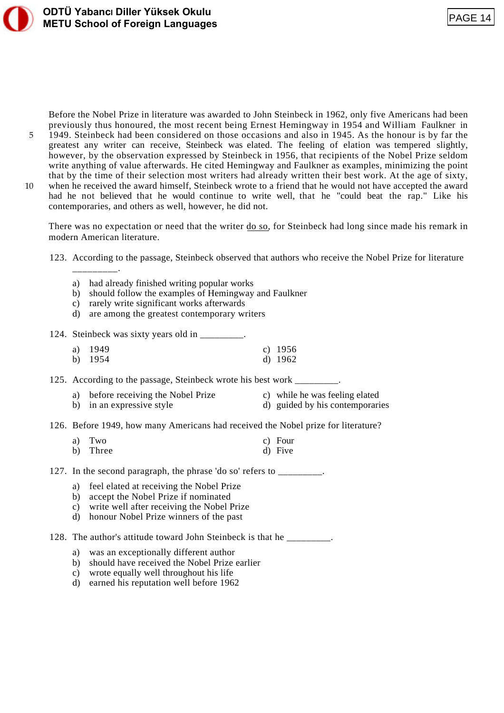

Before the Nobel Prize in literature was awarded to John Steinbeck in 1962, only five Americans had been previously thus honoured, the most recent being Ernest Hemingway in 1954 and William Faulkner in

5 1949. Steinbeck had been considered on those occasions and also in 1945. As the honour is by far the greatest any writer can receive, Steinbeck was elated. The feeling of elation was tempered slightly, however, by the observation expressed by Steinbeck in 1956, that recipients of the Nobel Prize seldom write anything of value afterwards. He cited Hemingway and Faulkner as examples, minimizing the point that by the time of their selection most writers had already written their best work. At the age of sixty,

10 when he received the award himself, Steinbeck wrote to a friend that he would not have accepted the award had he not believed that he would continue to write well, that he "could beat the rap." Like his contemporaries, and others as well, however, he did not.

There was no expectation or need that the writer do so, for Steinbeck had long since made his remark in modern American literature.

123. According to the passage, Steinbeck observed that authors who receive the Nobel Prize for literature \_\_\_\_\_\_\_\_\_.

- a) had already finished writing popular works
- b) should follow the examples of Hemingway and Faulkner
- c) rarely write significant works afterwards
- d) are among the greatest contemporary writers

124. Steinbeck was sixty years old in \_\_\_\_\_\_\_\_.

| a) $1949$ | c) $1956$ |
|-----------|-----------|
| b) $1954$ | d) $1962$ |

125. According to the passage, Steinbeck wrote his best work  $\overline{\phantom{a}}$ 

- a) before receiving the Nobel Prize c) while he was feeling elated
- b) in an expressive style d) guided by his contemporaries
- 126. Before 1949, how many Americans had received the Nobel prize for literature?

| a) Two   | c) Four |
|----------|---------|
| b) Three | d) Five |

127. In the second paragraph, the phrase 'do so' refers to \_\_\_\_\_\_\_\_\_.

- a) feel elated at receiving the Nobel Prize
- b) accept the Nobel Prize if nominated
- c) write well after receiving the Nobel Prize
- d) honour Nobel Prize winners of the past

128. The author's attitude toward John Steinbeck is that he \_\_\_\_\_\_\_\_.

- a) was an exceptionally different author
- b) should have received the Nobel Prize earlier
- c) wrote equally well throughout his life
- d) earned his reputation well before 1962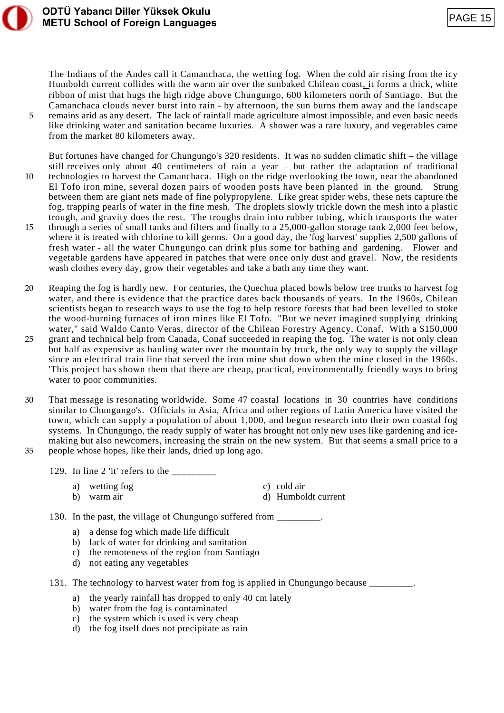

The Indians of the Andes call it Camanchaca, the wetting fog. When the cold air rising from the icy Humboldt current collides with the warm air over the sunbaked Chilean coast, it forms a thick, white ribbon of mist that hugs the high ridge above Chungungo, 600 kilometers north of Santiago. But the Camanchaca clouds never burst into rain - by afternoon, the sun burns them away and the landscape 5 remains arid as any desert. The lack of rainfall made agriculture almost impossible, and even basic needs like drinking water and sanitation became luxuries. A shower was a rare luxury, and vegetables came from the market 80 kilometers away.

But fortunes have changed for Chungungo's 320 residents. It was no sudden climatic shift – the village still receives only about 40 centimeters of rain a year – but rather the adaptation of traditional 10 technologies to harvest the Camanchaca. High on the ridge overlooking the town, near the abandoned El Tofo iron mine, several dozen pairs of wooden posts have been planted in the ground. Strung between them are giant nets made of fine polypropylene. Like great spider webs, these nets capture the fog, trapping pearls of water in the fine mesh. The droplets slowly trickle down the mesh into a plastic trough, and gravity does the rest. The troughs drain into rubber tubing, which transports the water 15 through a series of small tanks and filters and finally to a 25,000-gallon storage tank 2,000 feet below, where it is treated with chlorine to kill germs. On a good day, the 'fog harvest' supplies 2,500 gallons of fresh water - all the water Chungungo can drink plus some for bathing and gardening. Flower and vegetable gardens have appeared in patches that were once only dust and gravel. Now, the residents wash clothes every day, grow their vegetables and take a bath any time they want.

20 Reaping the fog is hardly new. For centuries, the Quechua placed bowls below tree trunks to harvest fog water, and there is evidence that the practice dates back thousands of years. In the 1960s, Chilean scientists began to research ways to use the fog to help restore forests that had been levelled to stoke the wood-burning furnaces of iron mines like El Tofo. "But we never imagined supplying drinking water," said Waldo Canto Veras, director of the Chilean Forestry Agency, Conaf. With a \$150,000 25 grant and technical help from Canada, Conaf succeeded in reaping the fog. The water is not only clean but half as expensive as hauling water over the mountain by truck, the only way to supply the village since an electrical train line that served the iron mine shut down when the mine closed in the 1960s. 'This project has shown them that there are cheap, practical, environmentally friendly ways to bring water to poor communities.

- 30 That message is resonating worldwide. Some 47 coastal locations in 30 countries have conditions similar to Chungungo's. Officials in Asia, Africa and other regions of Latin America have visited the town, which can supply a population of about 1,000, and begun research into their own coastal fog systems. In Chungungo, the ready supply of water has brought not only new uses like gardening and icemaking but also newcomers, increasing the strain on the new system. But that seems a small price to a 35 people whose hopes, like their lands, dried up long ago.
	- 129. In line 2 'it' refers to the  $\frac{1}{\sqrt{1-\frac{1}{\sqrt{1-\frac{1}{\sqrt{1-\frac{1}{\sqrt{1-\frac{1}{\sqrt{1-\frac{1}{\sqrt{1-\frac{1}{\sqrt{1-\frac{1}{\sqrt{1-\frac{1}{\sqrt{1-\frac{1}{\sqrt{1-\frac{1}{\sqrt{1-\frac{1}{\sqrt{1-\frac{1}{\sqrt{1-\frac{1}{\sqrt{1-\frac{1}{\sqrt{1-\frac{1}{\sqrt{1-\frac{1}{\sqrt{1-\frac{1}{\sqrt{1-\frac{1}{\sqrt{1-\frac{1}{\sqrt{1-\frac{1}{\$ 
		- a) wetting fog c) cold air b) warm air d) Humboldt current

130. In the past, the village of Chungungo suffered from \_\_\_\_\_\_\_\_.

- a) a dense fog which made life difficult
- b) lack of water for drinking and sanitation
- c) the remoteness of the region from Santiago
- d) not eating any vegetables

131. The technology to harvest water from fog is applied in Chungungo because \_\_\_\_\_\_\_\_\_.

- a) the yearly rainfall has dropped to only 40 cm lately
- b) water from the fog is contaminated
- c) the system which is used is very cheap
- d) the fog itself does not precipitate as rain